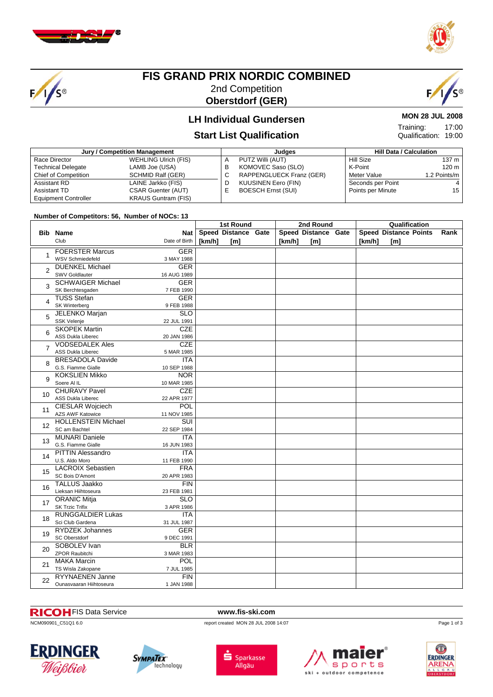

 $F/1/s$ 



#### **FIS GRAND PRIX NORDIC COMBINED** 2nd Competition

**Oberstdorf (GER)**



#### **LH Individual Gundersen**

#### **Start List Qualification**

| Jury / Competition Management |                             |   | Judges                     | <b>Hill Data / Calculation</b> |              |  |
|-------------------------------|-----------------------------|---|----------------------------|--------------------------------|--------------|--|
| Race Director                 | <b>WEHLING Ulrich (FIS)</b> | А | PUTZ Willi (AUT)           | Hill Size                      | 137 m        |  |
| <b>Technical Delegate</b>     | LAMB Joe (USA)              | в | KOMOVEC Saso (SLO)         | K-Point                        | 120 m        |  |
| <b>Chief of Competition</b>   | SCHMID Ralf (GER)           | С | RAPPENGLUECK Franz (GER)   | Meter Value                    | 1.2 Points/m |  |
| Assistant RD                  | LAINE Jarkko (FIS)          | D | <b>KUUSINEN Eero (FIN)</b> | Seconds per Point              |              |  |
| Assistant TD                  | <b>CSAR Guenter (AUT)</b>   | E | <b>BOESCH Ernst (SUI)</b>  | Points per Minute              | 15           |  |
| <b>Equipment Controller</b>   | <b>KRAUS Guntram (FIS)</b>  |   |                            |                                |              |  |

#### **Number of Competitors: 56, Number of NOCs: 13**

|                | number of competitors. 30, number of NOOS. To         |                                        | <b>1st Round</b> |                     |  |        | 2nd Round           | Qualification |                              |      |
|----------------|-------------------------------------------------------|----------------------------------------|------------------|---------------------|--|--------|---------------------|---------------|------------------------------|------|
|                | <b>Bib Name</b>                                       | Nat                                    |                  | Speed Distance Gate |  |        | Speed Distance Gate |               | <b>Speed Distance Points</b> | Rank |
|                | Club                                                  | Date of Birth                          | [km/h]           | [m]                 |  | [km/h] | $\mathsf{[m]}$      | [km/h]        | $\mathsf{[m]}$               |      |
|                | <b>FOERSTER Marcus</b>                                | <b>GER</b>                             |                  |                     |  |        |                     |               |                              |      |
| $\mathbf{1}$   | <b>WSV Schmiedefeld</b>                               | 3 MAY 1988                             |                  |                     |  |        |                     |               |                              |      |
| $\overline{2}$ | <b>DUENKEL Michael</b>                                | <b>GER</b>                             |                  |                     |  |        |                     |               |                              |      |
|                | <b>SWV Goldlauter</b>                                 | 16 AUG 1989                            |                  |                     |  |        |                     |               |                              |      |
| 3              | <b>SCHWAIGER Michael</b><br>SK Berchtesgaden          | <b>GER</b><br>7 FEB 1990               |                  |                     |  |        |                     |               |                              |      |
|                | <b>TUSS Stefan</b>                                    | <b>GER</b>                             |                  |                     |  |        |                     |               |                              |      |
| 4              | <b>SK Winterberg</b>                                  | 9 FEB 1988                             |                  |                     |  |        |                     |               |                              |      |
| 5              | <b>JELENKO Marjan</b>                                 | $\overline{\text{SLO}}$                |                  |                     |  |        |                     |               |                              |      |
|                | <b>SSK Velenje</b>                                    | 22 JUL 1991                            |                  |                     |  |        |                     |               |                              |      |
| 6              | <b>SKOPEK Martin</b>                                  | CZE                                    |                  |                     |  |        |                     |               |                              |      |
|                | <b>ASS Dukla Liberec</b>                              | 20 JAN 1986                            |                  |                     |  |        |                     |               |                              |      |
| $\overline{7}$ | <b>VODSEDALEK Ales</b><br><b>ASS Dukla Liberec</b>    | <b>CZE</b>                             |                  |                     |  |        |                     |               |                              |      |
|                | <b>BRESADOLA Davide</b>                               | 5 MAR 1985<br><b>ITA</b>               |                  |                     |  |        |                     |               |                              |      |
| 8              | G.S. Fiamme Gialle                                    | 10 SEP 1988                            |                  |                     |  |        |                     |               |                              |      |
|                | <b>KOKSLIEN Mikko</b>                                 | <b>NOR</b>                             |                  |                     |  |        |                     |               |                              |      |
| 9              | Soere Al IL                                           | 10 MAR 1985                            |                  |                     |  |        |                     |               |                              |      |
| 10             | <b>CHURAVY Pavel</b>                                  | <b>CZE</b>                             |                  |                     |  |        |                     |               |                              |      |
|                | ASS Dukla Liberec                                     | 22 APR 1977                            |                  |                     |  |        |                     |               |                              |      |
| 11             | <b>CIESLAR Wojciech</b>                               | <b>POL</b>                             |                  |                     |  |        |                     |               |                              |      |
|                | <b>AZS AWF Katowice</b><br><b>HOLLENSTEIN Michael</b> | 11 NOV 1985<br>$\overline{\text{SUI}}$ |                  |                     |  |        |                     |               |                              |      |
| 12             | SC am Bachtel                                         | 22 SEP 1984                            |                  |                     |  |        |                     |               |                              |      |
|                | <b>MUNARI Daniele</b>                                 | <b>ITA</b>                             |                  |                     |  |        |                     |               |                              |      |
| 13             | G.S. Fiamme Gialle                                    | 16 JUN 1983                            |                  |                     |  |        |                     |               |                              |      |
| 14             | <b>PITTIN Alessandro</b>                              | <b>ITA</b>                             |                  |                     |  |        |                     |               |                              |      |
|                | U.S. Aldo Moro                                        | 11 FEB 1990                            |                  |                     |  |        |                     |               |                              |      |
| 15             | <b>LACROIX Sebastien</b>                              | <b>FRA</b>                             |                  |                     |  |        |                     |               |                              |      |
|                | SC Bois D'Amont<br><b>TALLUS Jaakko</b>               | 20 APR 1983<br>FIN                     |                  |                     |  |        |                     |               |                              |      |
| 16             | Lieksan Hiihtoseura                                   | 23 FEB 1981                            |                  |                     |  |        |                     |               |                              |      |
|                | <b>ORANIC Mitja</b>                                   | <b>SLO</b>                             |                  |                     |  |        |                     |               |                              |      |
| 17             | <b>SK Trzic Trifix</b>                                | 3 APR 1986                             |                  |                     |  |        |                     |               |                              |      |
| 18             | <b>RUNGGALDIER Lukas</b>                              | <b>ITA</b>                             |                  |                     |  |        |                     |               |                              |      |
|                | Sci Club Gardena                                      | 31 JUL 1987                            |                  |                     |  |        |                     |               |                              |      |
| 19             | <b>RYDZEK Johannes</b>                                | <b>GER</b>                             |                  |                     |  |        |                     |               |                              |      |
|                | SC Oberstdorf<br>SOBOLEV Ivan                         | 9 DEC 1991<br><b>BLR</b>               |                  |                     |  |        |                     |               |                              |      |
| 20             | <b>ZPOR Raubitchi</b>                                 | 3 MAR 1983                             |                  |                     |  |        |                     |               |                              |      |
|                | <b>MAKA Marcin</b>                                    | POL                                    |                  |                     |  |        |                     |               |                              |      |
| 21             | TS Wisla Zakopane                                     | 7 JUL 1985                             |                  |                     |  |        |                     |               |                              |      |
| 22             | RYYNAENEN Janne                                       | <b>FIN</b>                             |                  |                     |  |        |                     |               |                              |      |
|                | Ounasvaaran Hiihtoseura                               | 1 JAN 1988                             |                  |                     |  |        |                     |               |                              |      |

#### FIS Data Service **www.fis-ski.com**

NCM090901\_C51Q1 6.0 report created MON 28 JUL 2008 14:07











Page 1 of 3

**MON 28 JUL 2008**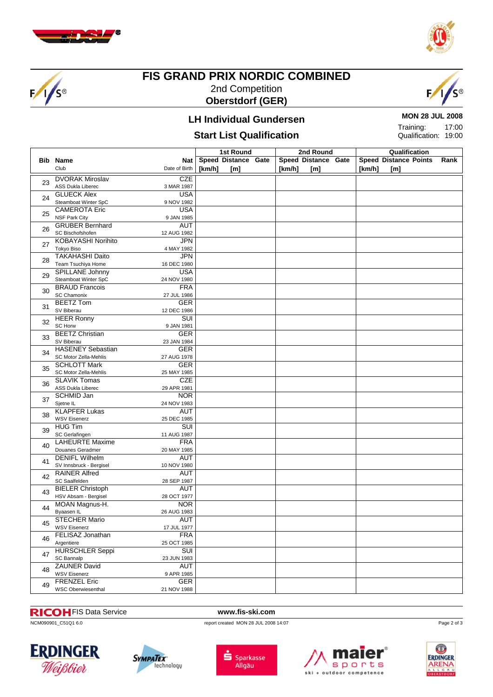

 $F/1/s$ 



#### **FIS GRAND PRIX NORDIC COMBINED** 2nd Competition **Oberstdorf (GER)**



## **LH Individual Gundersen Start List Qualification**

#### **MON 28 JUL 2008** 17:00 Training:

Qualification: 19:00

|    |                           | 1st Round                 |        |                     | 2nd Round | Qualification       |        |                              |      |
|----|---------------------------|---------------------------|--------|---------------------|-----------|---------------------|--------|------------------------------|------|
|    | <b>Bib Name</b>           | Nat                       |        | Speed Distance Gate |           | Speed Distance Gate |        | <b>Speed Distance Points</b> | Rank |
|    | Club                      | Date of Birth             | [km/h] | [m]                 | [km/h]    | [m]                 | [km/h] | [m]                          |      |
|    |                           |                           |        |                     |           |                     |        |                              |      |
| 23 | <b>DVORAK Miroslav</b>    | <b>CZE</b>                |        |                     |           |                     |        |                              |      |
|    | <b>ASS Dukla Liberec</b>  | 3 MAR 1987                |        |                     |           |                     |        |                              |      |
| 24 | <b>GLUECK Alex</b>        | <b>USA</b>                |        |                     |           |                     |        |                              |      |
|    | Steamboat Winter SpC      | 9 NOV 1982                |        |                     |           |                     |        |                              |      |
| 25 | <b>CAMEROTA Eric</b>      | <b>USA</b>                |        |                     |           |                     |        |                              |      |
|    | <b>NSF Park City</b>      | 9 JAN 1985                |        |                     |           |                     |        |                              |      |
| 26 | <b>GRUBER Bernhard</b>    | <b>AUT</b>                |        |                     |           |                     |        |                              |      |
|    | SC Bischofshofen          | 12 AUG 1982               |        |                     |           |                     |        |                              |      |
| 27 | <b>KOBAYASHI Norihito</b> | <b>JPN</b>                |        |                     |           |                     |        |                              |      |
|    | Tokyo Biso                | 4 MAY 1982                |        |                     |           |                     |        |                              |      |
| 28 | <b>TAKAHASHI Daito</b>    | <b>JPN</b>                |        |                     |           |                     |        |                              |      |
|    | Team Tsuchiya Home        | 16 DEC 1980               |        |                     |           |                     |        |                              |      |
| 29 | SPILLANE Johnny           | <b>USA</b>                |        |                     |           |                     |        |                              |      |
|    | Steamboat Winter SpC      | 24 NOV 1980               |        |                     |           |                     |        |                              |      |
|    | <b>BRAUD Francois</b>     | <b>FRA</b>                |        |                     |           |                     |        |                              |      |
| 30 | <b>SC Chamonix</b>        | 27 JUL 1986               |        |                     |           |                     |        |                              |      |
|    | <b>BEETZ Tom</b>          | <b>GER</b>                |        |                     |           |                     |        |                              |      |
| 31 | SV Biberau                | 12 DEC 1986               |        |                     |           |                     |        |                              |      |
|    | <b>HEER Ronny</b>         | SUI                       |        |                     |           |                     |        |                              |      |
| 32 | <b>SC Horw</b>            | 9 JAN 1981                |        |                     |           |                     |        |                              |      |
|    | <b>BEETZ Christian</b>    | GER                       |        |                     |           |                     |        |                              |      |
| 33 | SV Biberau                | 23 JAN 1984               |        |                     |           |                     |        |                              |      |
|    | <b>HASENEY Sebastian</b>  | <b>GER</b>                |        |                     |           |                     |        |                              |      |
| 34 | SC Motor Zella-Mehlis     | 27 AUG 1978               |        |                     |           |                     |        |                              |      |
|    | <b>SCHLOTT Mark</b>       | <b>GER</b>                |        |                     |           |                     |        |                              |      |
| 35 | SC Motor Zella-Mehlis     | 25 MAY 1985               |        |                     |           |                     |        |                              |      |
|    | <b>SLAVIK Tomas</b>       | <b>CZE</b>                |        |                     |           |                     |        |                              |      |
| 36 | ASS Dukla Liberec         | 29 APR 1981               |        |                     |           |                     |        |                              |      |
|    | <b>SCHMID Jan</b>         | <b>NOR</b>                |        |                     |           |                     |        |                              |      |
| 37 | Sjetne IL                 | 24 NOV 1983               |        |                     |           |                     |        |                              |      |
|    | <b>KLAPFER Lukas</b>      | <b>AUT</b>                |        |                     |           |                     |        |                              |      |
| 38 | <b>WSV Eisenerz</b>       | 25 DEC 1985               |        |                     |           |                     |        |                              |      |
|    | <b>HUG Tim</b>            | <b>SUI</b>                |        |                     |           |                     |        |                              |      |
| 39 | SC Gerlafingen            | 11 AUG 1987               |        |                     |           |                     |        |                              |      |
|    | <b>LAHEURTE Maxime</b>    | <b>FRA</b>                |        |                     |           |                     |        |                              |      |
| 40 | Douanes Geradmer          | 20 MAY 1985               |        |                     |           |                     |        |                              |      |
|    | <b>DENIFL Wilhelm</b>     | AUT                       |        |                     |           |                     |        |                              |      |
| 41 | SV Innsbruck - Bergisel   | 10 NOV 1980               |        |                     |           |                     |        |                              |      |
|    | <b>RAINER Alfred</b>      | <b>AUT</b>                |        |                     |           |                     |        |                              |      |
| 42 | SC Saalfelden             | 28 SEP 1987               |        |                     |           |                     |        |                              |      |
|    | <b>BIELER Christoph</b>   | AUT                       |        |                     |           |                     |        |                              |      |
| 43 | HSV Absam - Bergisel      | 28 OCT 1977               |        |                     |           |                     |        |                              |      |
|    | MOAN Magnus-H.            | <b>NOR</b>                |        |                     |           |                     |        |                              |      |
| 44 | Byaasen IL                | 26 AUG 1983               |        |                     |           |                     |        |                              |      |
|    | <b>STECHER Mario</b>      | AUT                       |        |                     |           |                     |        |                              |      |
| 45 | <b>WSV Eisenerz</b>       | 17 JUL 1977               |        |                     |           |                     |        |                              |      |
|    | FELISAZ Jonathan          | <b>FRA</b>                |        |                     |           |                     |        |                              |      |
| 46 | Argentiere                | 25 OCT 1985               |        |                     |           |                     |        |                              |      |
|    | <b>HURSCHLER Seppi</b>    | <b>SUI</b>                |        |                     |           |                     |        |                              |      |
| 47 | SC Bannalp                | 23 JUN 1983               |        |                     |           |                     |        |                              |      |
|    | <b>ZAUNER David</b>       |                           |        |                     |           |                     |        |                              |      |
| 48 |                           | <b>AUT</b>                |        |                     |           |                     |        |                              |      |
|    | <b>WSV Eisenerz</b>       | 9 APR 1985                |        |                     |           |                     |        |                              |      |
| 49 | <b>FRENZEL Eric</b>       | <b>GER</b><br>21 NOV 1988 |        |                     |           |                     |        |                              |      |
|    | <b>WSC Oberwiesenthal</b> |                           |        |                     |           |                     |        |                              |      |

# **RICOI-** FIS Data Service **www.fis-ski.com**<br> **NCM090901\_C51Q1 6.0**<br> **REPORT OF A SERVICE A SERVICE A SERVICE A SERVICE A SERVICE A SERVICE A SERVICE A SERVICE A SERVICE A SERVICE A SERVICE A SERVICE A SERVICE A SERVICE A S**

report created MON 28 JUL 2008 14:07